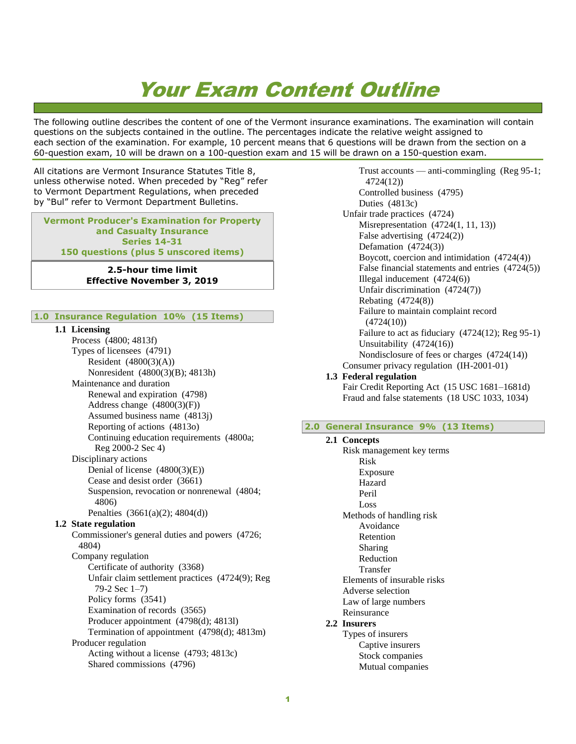# Your Exam Content Outline

The following outline describes the content of one of the Vermont insurance examinations. The examination will contain questions on the subjects contained in the outline. The percentages indicate the relative weight assigned to each section of the examination. For example, 10 percent means that 6 questions will be drawn from the section on a 60-question exam, 10 will be drawn on a 100-question exam and 15 will be drawn on a 150-question exam.

All citations are Vermont Insurance Statutes Title 8, unless otherwise noted. When preceded by "Reg" refer to Vermont Department Regulations, when preceded by "Bul" refer to Vermont Department Bulletins.

**Vermont Producer's Examination for Property and Casualty Insurance Series 14-31 150 questions (plus 5 unscored items)**

> **2.5-hour time limit Effective November 3, 2019**

### **1.0 Insurance Regulation 10% (15 Items)**

### **1.1 Licensing**

Process (4800; 4813f) Types of licensees (4791) Resident (4800(3)(A)) Nonresident (4800(3)(B); 4813h) Maintenance and duration Renewal and expiration (4798) Address change  $(4800(3)(F))$ Assumed business name (4813j) Reporting of actions (4813o) Continuing education requirements (4800a; Reg 2000-2 Sec 4) Disciplinary actions Denial of license (4800(3)(E)) Cease and desist order (3661) Suspension, revocation or nonrenewal (4804; 4806) Penalties (3661(a)(2); 4804(d)) **1.2 State regulation** Commissioner's general duties and powers (4726; 4804) Company regulation Certificate of authority (3368) Unfair claim settlement practices (4724(9); Reg 79-2 Sec 1–7) Policy forms (3541) Examination of records (3565) Producer appointment (4798(d); 4813l) Termination of appointment (4798(d); 4813m) Producer regulation Acting without a license (4793; 4813c) Shared commissions (4796)

Trust accounts — anti-commingling (Reg 95-1; 4724(12)) Controlled business (4795) Duties (4813c) Unfair trade practices (4724) Misrepresentation (4724(1, 11, 13)) False advertising (4724(2)) Defamation (4724(3)) Boycott, coercion and intimidation (4724(4)) False financial statements and entries (4724(5)) Illegal inducement (4724(6)) Unfair discrimination (4724(7)) Rebating (4724(8)) Failure to maintain complaint record  $(4724(10))$ Failure to act as fiduciary (4724(12); Reg 95-1) Unsuitability (4724(16)) Nondisclosure of fees or charges (4724(14)) Consumer privacy regulation (IH-2001-01)

### **1.3 Federal regulation**

Fair Credit Reporting Act (15 USC 1681–1681d) Fraud and false statements (18 USC 1033, 1034)

### **2.0 General Insurance 9% (13 Items)**

**2.1 Concepts** Risk management key terms Risk Exposure Hazard Peril Loss Methods of handling risk Avoidance Retention Sharing Reduction Transfer Elements of insurable risks Adverse selection Law of large numbers Reinsurance **2.2 Insurers** Types of insurers Captive insurers Stock companies Mutual companies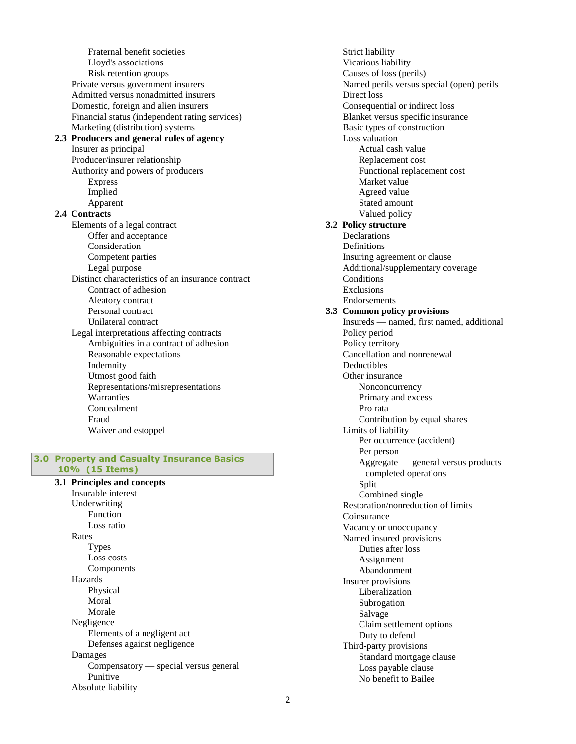Fraternal benefit societies Lloyd's associations Risk retention groups Private versus government insurers Admitted versus nonadmitted insurers Domestic, foreign and alien insurers Financial status (independent rating services) Marketing (distribution) systems **2.3 Producers and general rules of agency** Insurer as principal Producer/insurer relationship Authority and powers of producers Express Implied Apparent **2.4 Contracts** Elements of a legal contract Offer and acceptance Consideration Competent parties Legal purpose Distinct characteristics of an insurance contract Contract of adhesion Aleatory contract Personal contract Unilateral contract Legal interpretations affecting contracts Ambiguities in a contract of adhesion Reasonable expectations Indemnity Utmost good faith Representations/misrepresentations **Warranties** Concealment Fraud Waiver and estoppel

### **3.0 Property and Casualty Insurance Basics 10% (15 Items)**

**3.1 Principles and concepts** Insurable interest Underwriting Function Loss ratio Rates Types Loss costs Components Hazards Physical Moral Morale Negligence Elements of a negligent act Defenses against negligence Damages Compensatory — special versus general Punitive Absolute liability

Strict liability Vicarious liability Causes of loss (perils) Named perils versus special (open) perils Direct loss Consequential or indirect loss Blanket versus specific insurance Basic types of construction Loss valuation Actual cash value Replacement cost Functional replacement cost Market value Agreed value Stated amount Valued policy **3.2 Policy structure** Declarations **Definitions** Insuring agreement or clause Additional/supplementary coverage **Conditions** Exclusions Endorsements **3.3 Common policy provisions** Insureds — named, first named, additional Policy period Policy territory Cancellation and nonrenewal Deductibles Other insurance **Nonconcurrency** Primary and excess Pro rata Contribution by equal shares Limits of liability Per occurrence (accident) Per person Aggregate — general versus products completed operations Split Combined single Restoration/nonreduction of limits Coinsurance Vacancy or unoccupancy Named insured provisions Duties after loss Assignment Abandonment Insurer provisions Liberalization Subrogation Salvage Claim settlement options Duty to defend Third-party provisions Standard mortgage clause Loss payable clause No benefit to Bailee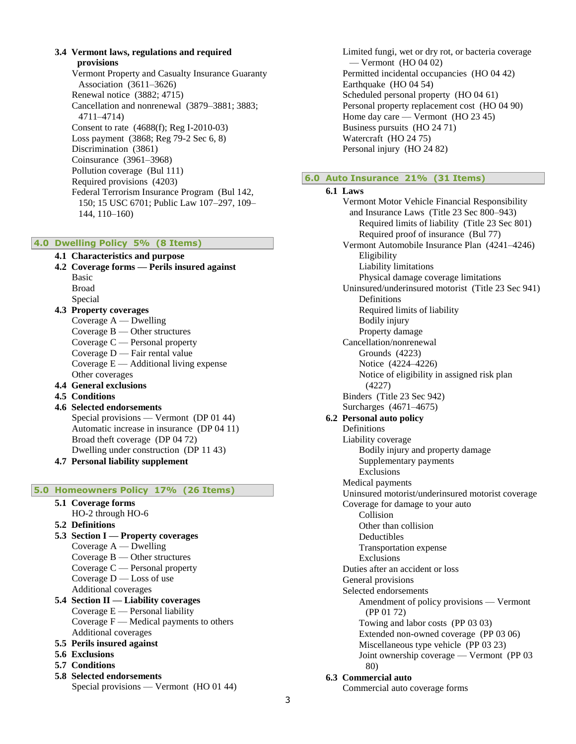**3.4 Vermont laws, regulations and required provisions**

Vermont Property and Casualty Insurance Guaranty Association (3611–3626) Renewal notice (3882; 4715) Cancellation and nonrenewal (3879–3881; 3883; 4711–4714) Consent to rate (4688(f); Reg I-2010-03) Loss payment (3868; Reg 79-2 Sec 6, 8) Discrimination (3861) Coinsurance (3961–3968) Pollution coverage (Bul 111) Required provisions (4203) Federal Terrorism Insurance Program (Bul 142, 150; 15 USC 6701; Public Law 107–297, 109– 144, 110–160)

### **4.0 Dwelling Policy 5% (8 Items)**

**4.1 Characteristics and purpose 4.2 Coverage forms — Perils insured against** Basic Broad Special **4.3 Property coverages** Coverage A — Dwelling Coverage B — Other structures Coverage C — Personal property Coverage D — Fair rental value Coverage  $E -$  Additional living expense Other coverages **4.4 General exclusions 4.5 Conditions 4.6 Selected endorsements** Special provisions — Vermont (DP 01 44) Automatic increase in insurance (DP 04 11) Broad theft coverage (DP 04 72) Dwelling under construction (DP 11 43) **4.7 Personal liability supplement 5.0 Homeowners Policy 17% (26 Items)**

- **5.1 Coverage forms**
- HO-2 through HO-6
- **5.2 Definitions**
- **5.3 Section I — Property coverages** Coverage A — Dwelling Coverage B — Other structures Coverage C — Personal property Coverage D — Loss of use Additional coverages **5.4 Section II — Liability coverages** Coverage  $E$  — Personal liability Coverage  $F$  — Medical payments to others Additional coverages
- **5.5 Perils insured against**
- **5.6 Exclusions**
- **5.7 Conditions**
- **5.8 Selected endorsements** Special provisions — Vermont (HO 01 44)

Limited fungi, wet or dry rot, or bacteria coverage — Vermont (HO 04 02) Permitted incidental occupancies (HO 04 42) Earthquake (HO 04 54) Scheduled personal property (HO 04 61) Personal property replacement cost (HO 04 90) Home day care — Vermont (HO 23 45) Business pursuits (HO 24 71) Watercraft (HO 24 75) Personal injury (HO 24 82)

### **6.0 Auto Insurance 21% (31 Items)**

## **6.1 Laws**

Vermont Motor Vehicle Financial Responsibility and Insurance Laws (Title 23 Sec 800–943) Required limits of liability (Title 23 Sec 801) Required proof of insurance (Bul 77) Vermont Automobile Insurance Plan (4241–4246) Eligibility Liability limitations Physical damage coverage limitations Uninsured/underinsured motorist (Title 23 Sec 941) Definitions Required limits of liability Bodily injury Property damage Cancellation/nonrenewal Grounds (4223) Notice (4224–4226) Notice of eligibility in assigned risk plan (4227) Binders (Title 23 Sec 942) Surcharges (4671–4675) **6.2 Personal auto policy** Definitions Liability coverage Bodily injury and property damage Supplementary payments Exclusions Medical payments Uninsured motorist/underinsured motorist coverage Coverage for damage to your auto Collision Other than collision Deductibles Transportation expense Exclusions Duties after an accident or loss General provisions Selected endorsements Amendment of policy provisions — Vermont (PP 01 72) Towing and labor costs (PP 03 03) Extended non-owned coverage (PP 03 06) Miscellaneous type vehicle (PP 03 23) Joint ownership coverage — Vermont (PP 03 80) **6.3 Commercial auto** Commercial auto coverage forms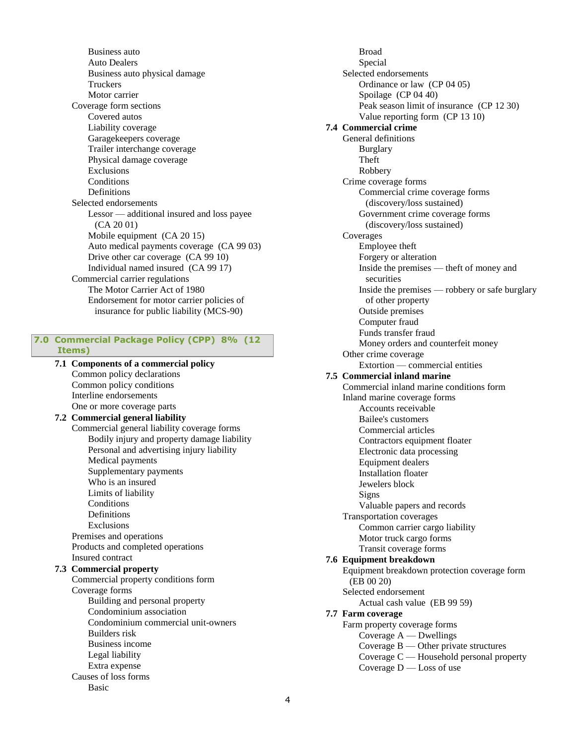Business auto Auto Dealers Business auto physical damage **Truckers** Motor carrier Coverage form sections Covered autos Liability coverage Garagekeepers coverage Trailer interchange coverage Physical damage coverage Exclusions **Conditions Definitions** Selected endorsements Lessor — additional insured and loss payee (CA 20 01) Mobile equipment (CA 20 15) Auto medical payments coverage (CA 99 03) Drive other car coverage (CA 99 10) Individual named insured (CA 99 17) Commercial carrier regulations The Motor Carrier Act of 1980 Endorsement for motor carrier policies of insurance for public liability (MCS-90)

### **7.0 Commercial Package Policy (CPP) 8% (12**

### **Items)**

**7.1 Components of a commercial policy** Common policy declarations Common policy conditions Interline endorsements One or more coverage parts **7.2 Commercial general liability**  Commercial general liability coverage forms Bodily injury and property damage liability Personal and advertising injury liability Medical payments Supplementary payments Who is an insured Limits of liability **Conditions Definitions** Exclusions Premises and operations Products and completed operations Insured contract **7.3 Commercial property**  Commercial property conditions form Coverage forms Building and personal property Condominium association Condominium commercial unit-owners Builders risk Business income Legal liability Extra expense Causes of loss forms Basic

Broad Special Selected endorsements Ordinance or law (CP 04 05) Spoilage (CP 04 40) Peak season limit of insurance (CP 12 30) Value reporting form (CP 13 10) **7.4 Commercial crime**  General definitions Burglary Theft Robbery Crime coverage forms Commercial crime coverage forms (discovery/loss sustained) Government crime coverage forms (discovery/loss sustained) Coverages Employee theft Forgery or alteration Inside the premises — theft of money and securities Inside the premises — robbery or safe burglary of other property Outside premises Computer fraud Funds transfer fraud Money orders and counterfeit money Other crime coverage Extortion — commercial entities **7.5 Commercial inland marine** Commercial inland marine conditions form Inland marine coverage forms Accounts receivable Bailee's customers Commercial articles Contractors equipment floater Electronic data processing Equipment dealers Installation floater Jewelers block Signs Valuable papers and records Transportation coverages Common carrier cargo liability Motor truck cargo forms Transit coverage forms **7.6 Equipment breakdown**  Equipment breakdown protection coverage form (EB 00 20) Selected endorsement Actual cash value (EB 99 59) **7.7 Farm coverage** Farm property coverage forms Coverage A — Dwellings Coverage B — Other private structures Coverage C — Household personal property Coverage  $D$  — Loss of use